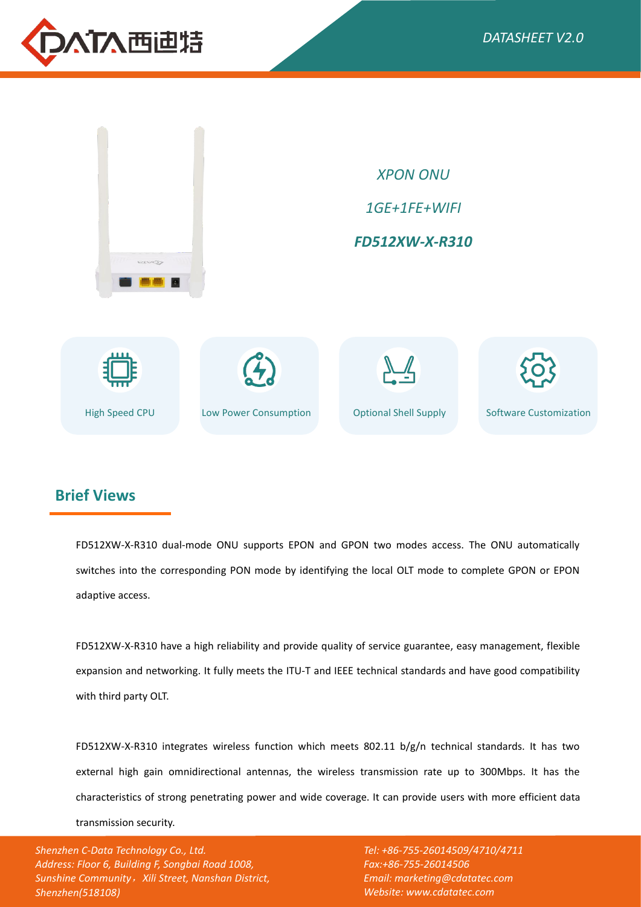



## **Brief Views**

FD512XW-X-R310 dual-mode ONU supports EPON and GPON two modes access. The ONU automatically switches into the corresponding PON mode by identifying the local OLT mode to complete GPON or EPON adaptive access.

FD512XW-X-R310 have a high reliability and provide quality of service guarantee, easy management, flexible expansion and networking. It fully meets the ITU-T and IEEE technical standards and have good compatibility with third party OLT.

FD512XW-X-R310 integrates wireless function which meets 802.11 b/g/n technical standards. It has two external high gain omnidirectional antennas, the wireless transmission rate up to 300Mbps. It has the characteristics of strong penetrating power and wide coverage. It can provide users with more efficient data transmission security.

*Shenzhen C-Data Technology Co., Ltd. Address: Floor 6, Building F, Songbai Road 1008, Sunshine Community*,*Xili Street, Nanshan District, Shenzhen(518108)*

*Tel: +86-755-26014509/4710/4711 Fax:+86-755-26014506 Email: marketing@cdatatec.com Website: www.cdatatec.com*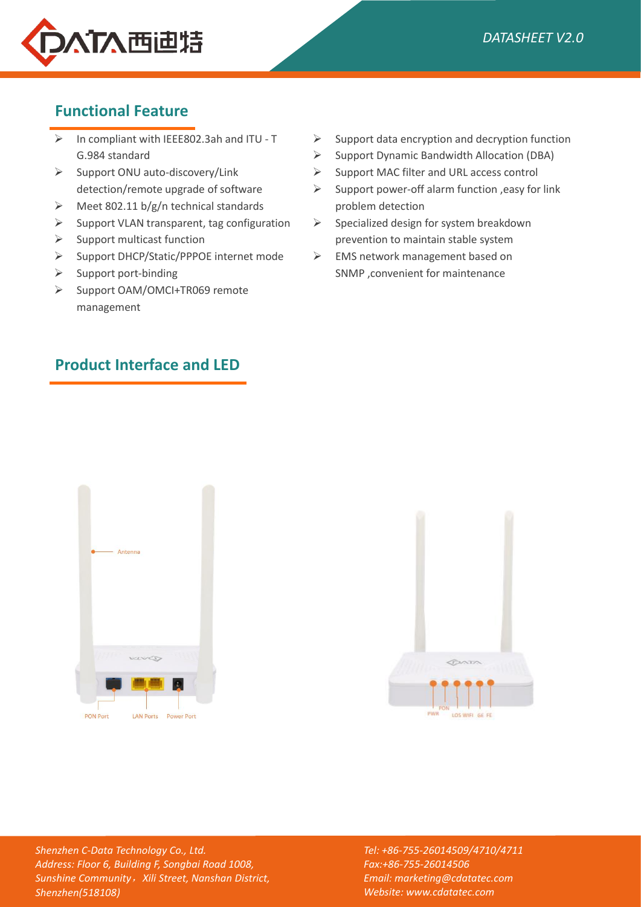

# **Functional Feature**

- $\triangleright$  In compliant with IEEE802.3ah and ITU T  $\triangleright$ G.984 standard
- $\triangleright$  Support ONU auto-discovery/Link  $\triangleright$ detection/remote upgrade of software
- $\triangleright$  Meet 802.11 b/g/n technical standards
- $\triangleright$  Support VLAN transparent, tag configuration  $\triangleright$
- $\triangleright$  Support multicast function
- $\triangleright$  Support DHCP/Static/PPPOE internet mode  $\triangleright$
- $\triangleright$  Support port-binding
- ▶ Support OAM/OMCI+TR069 remote management
- **Product Interface and LED**
- Support data encryption and decryption function
- $\triangleright$  Support Dynamic Bandwidth Allocation (DBA)
- Support MAC filter and URL access control
- Support power-off alarm function ,easy for link problem detection
- Specialized design for system breakdown prevention to maintain stable system
- EMS network management based on SNMP ,convenient for maintenance





*Shenzhen C-Data Technology Co., Ltd. Address: Floor 6, Building F, Songbai Road 1008, Sunshine Community*,*Xili Street, Nanshan District, Shenzhen(518108)*

*Tel: +86-755-26014509/4710/4711 Fax:+86-755-26014506 Email: marketing@cdatatec.com Website: www.cdatatec.com*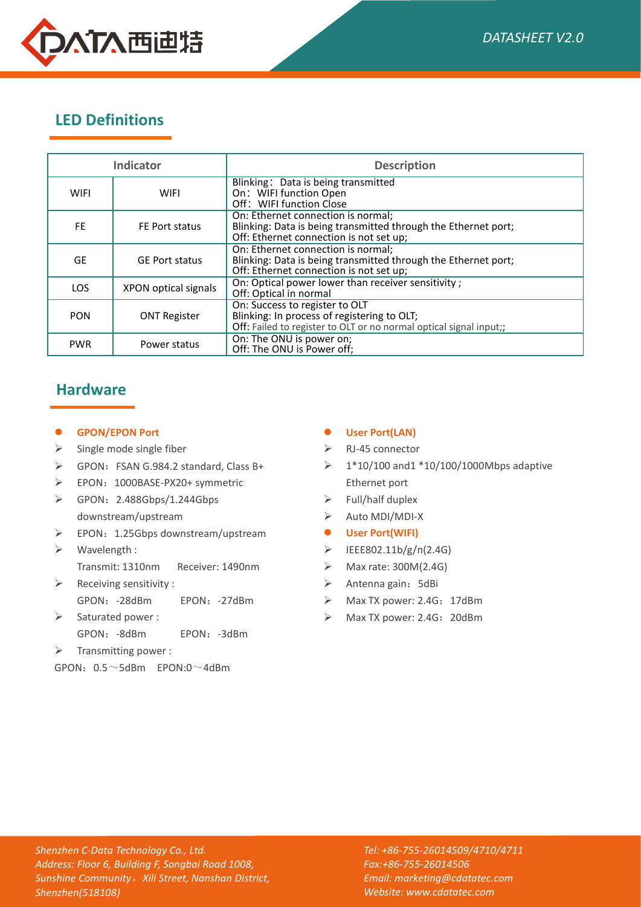

# **LED Definitions**

| <b>Indicator</b> |                       | <b>Description</b>                                                                                                                                  |
|------------------|-----------------------|-----------------------------------------------------------------------------------------------------------------------------------------------------|
| <b>WIFI</b>      | <b>WIFI</b>           | Blinking: Data is being transmitted<br>On: WIFI function Open<br>Off: WIFI function Close                                                           |
| FE.              | FE Port status        | On: Ethernet connection is normal:<br>Blinking: Data is being transmitted through the Ethernet port;<br>Off: Ethernet connection is not set up;     |
| <b>GE</b>        | <b>GE Port status</b> | On: Ethernet connection is normal:<br>Blinking: Data is being transmitted through the Ethernet port;<br>Off: Ethernet connection is not set up;     |
| <b>LOS</b>       | XPON optical signals  | On: Optical power lower than receiver sensitivity;<br>Off: Optical in normal                                                                        |
| <b>PON</b>       | <b>ONT Register</b>   | On: Success to register to OLT<br>Blinking: In process of registering to OLT;<br>Off: Failed to register to OLT or no normal optical signal input;; |
| <b>PWR</b>       | Power status          | On: The ONU is power on;<br>Off: The ONU is Power off;                                                                                              |

### **Hardware**

#### **GPON/EPON Port**

- $\triangleright$  Single mode single fiber
- $\triangleright$  GPON: FSAN G.984.2 standard, Class B+
- EPON: 1000BASE-PX20+ symmetric
- GPON:2.488Gbps/1.244Gbps downstream/upstream
- EPON:1.25Gbps downstream/upstream
- $\triangleright$  Wavelength: Transmit: 1310nm Receiver: 1490nm
- $\triangleright$  Receiving sensitivity : GPON: -28dBm EPON: -27dBm  $\rightarrow$  Max TX power: 2.4G: 17dBm
- $\triangleright$  Saturated power : GPON:-8dBm EPON:-3dBm
- $\triangleright$  Transmitting power :

 $GPON: 0.5 \sim 5d$ Bm  $FPON: 0 \sim 4d$ Bm

#### **User Port(LAN)**

- $\triangleright$  RJ-45 connector
- 1\*10/100 and1 \*10/100/1000Mbps adaptive Ethernet port
- $\triangleright$  Full/half duplex
- Auto MDI/MDI-X
- **User Port(WIFI)**
- $\triangleright$  IEEE802.11b/g/n(2.4G)
- Max rate: 300M(2.4G)
- $\triangleright$  Antenna gain: 5dBi
- 
- $\triangleright$  Max TX power: 2.4G: 20dBm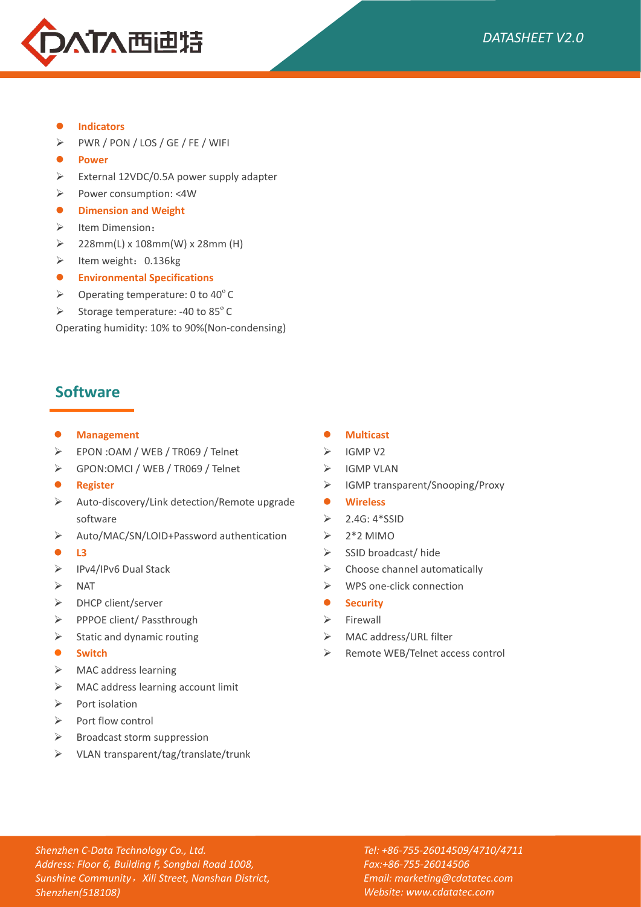

- **Indicators**
- $\triangleright$  PWR / PON / LOS / GE / FE / WIFI
- **Power**
- $\triangleright$  External 12VDC/0.5A power supply adapter
- Power consumption: <4W
- **Dimension and Weight**
- $\triangleright$  Item Dimension:
- $\geq$  228mm(L) x 108mm(W) x 28mm (H)
- $\blacktriangleright$  Item weight: 0.136kg
- **Environmental Specifications**
- $\triangleright$  Operating temperature: 0 to 40 $^{\circ}$  C
- Storage temperature: -40 to  $85^{\circ}$ C

Operating humidity: 10% to 90%(Non-condensing)

### **Software**

#### **Management**

- EPON :OAM / WEB / TR069 / Telnet
- GPON:OMCI / WEB / TR069 / Telnet
- **Register**
- $\triangleright$  Auto-discovery/Link detection/Remote upgrade  $\bullet$ software
- Auto/MAC/SN/LOID+Password authentication
- **b** L3
- IPv4/IPv6 Dual Stack
- $\triangleright$  NAT
- > DHCP client/server
- ▶ PPPOE client/ Passthrough
- $\triangleright$  Static and dynamic routing
- **Switch**
- MAC address learning
- > MAC address learning account limit
- $\triangleright$  Port isolation
- $\triangleright$  Port flow control
- $\triangleright$  Broadcast storm suppression
- VLAN transparent/tag/translate/trunk

#### **Multicast**

- $\triangleright$  IGMP V2
- $\triangleright$  IGMP VLAN
- $\triangleright$  IGMP transparent/Snooping/Proxy
- **Wireless**
- $\geq$  2.4G: 4\*SSID
- 2\*2 MIMO
- $\triangleright$  SSID broadcast/ hide
- $\triangleright$  Choose channel automatically
- WPS one-click connection
- $S$  Security
- $\triangleright$  Firewall
- MAC address/URL filter
- ▶ Remote WEB/Telnet access control

*Shenzhen C-Data Technology Co., Ltd. Address: Floor 6, Building F, Songbai Road 1008, Sunshine Community*,*Xili Street, Nanshan District, Shenzhen(518108)*

*Tel: +86-755-26014509/4710/4711 Fax:+86-755-26014506 Email: marketing@cdatatec.com Website: www.cdatatec.com*